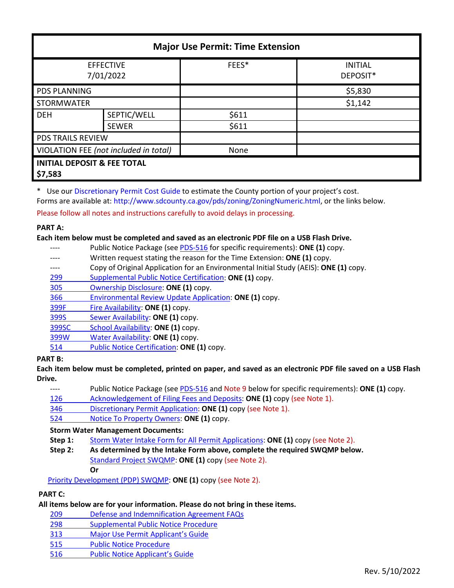| <b>Major Use Permit: Time Extension</b>           |              |       |                            |  |
|---------------------------------------------------|--------------|-------|----------------------------|--|
| <b>EFFECTIVE</b><br>7/01/2022                     |              | FEES* | <b>INITIAL</b><br>DEPOSIT* |  |
| <b>PDS PLANNING</b>                               |              |       | \$5,830                    |  |
| <b>STORMWATER</b>                                 |              |       | \$1,142                    |  |
| <b>DEH</b>                                        | SEPTIC/WELL  | \$611 |                            |  |
|                                                   | <b>SEWER</b> | \$611 |                            |  |
| <b>PDS TRAILS REVIEW</b>                          |              |       |                            |  |
| VIOLATION FEE (not included in total)             |              | None  |                            |  |
| <b>INITIAL DEPOSIT &amp; FEE TOTAL</b><br>\$7,583 |              |       |                            |  |

\* Use our [Discretionary Permit Cost Guide](http://www.sandiegocounty.gov/content/dam/sdc/pds/docs/Discretionary_Permit_Cost_Guide.xlsx) to estimate the County portion of your project's cost.

Forms are available at: [http://www.sdcounty.ca.gov/pds/zoning/ZoningNumeric.html,](http://www.sdcounty.ca.gov/pds/zoning/ZoningNumeric.html) or the links below.

Please follow all notes and instructions carefully to avoid delays in processing.

## **PART A:**

## **Each item below must be completed and saved as an electronic PDF file on a USB Flash Drive.**

- ---- Public Notice Package (se[e PDS-516](http://www.sdcounty.ca.gov/pds/zoning/formfields/PDS-PLN-516.pdf) for specific requirements): **ONE (1)** copy.
- ---- Written request stating the reason for the Time Extension: **ONE (1)** copy.
- ---- Copy of Original Application for an Environmental Initial Study (AEIS): **ONE (1)** copy.
- 299 [Supplemental Public Notice Certification:](http://www.sdcounty.ca.gov/pds/zoning/formfields/PDS-PLN-299.pdf) **ONE (1)** copy.
- [305 Ownership Disclosure:](http://www.sdcounty.ca.gov/pds/zoning/formfields/PDS-PLN-305.pdf) **ONE (1)** copy.
- [366 Environmental Review Update Application:](http://www.sdcounty.ca.gov/pds/zoning/formfields/PDS-PLN-366.pdf) **ONE (1)** copy.
- [399F Fire Availability:](http://www.sdcounty.ca.gov/pds/zoning/formfields/PDS-PLN-399F.pdf) **ONE (1)** copy.
- 399S [Sewer Availability:](http://www.sdcounty.ca.gov/pds/zoning/formfields/PDS-PLN-399S.pdf) **ONE (1)** copy.
- [399SC School Availability:](http://www.sdcounty.ca.gov/pds/zoning/formfields/PDS-PLN-399SC.pdf) **ONE (1)** copy.
- [399W Water Availability:](http://www.sdcounty.ca.gov/pds/zoning/formfields/PDS-PLN-399W.pdf) **ONE (1)** copy.
- 514 [Public Notice Certification:](http://www.sdcounty.ca.gov/pds/zoning/formfields/PDS-PLN-514.pdf) **ONE (1)** copy.

# **PART B:**

**Each item below must be completed, printed on paper, and saved as an electronic PDF file saved on a USB Flash Drive.**

- ---- Public Notice Package (se[e PDS-516 a](https://www.sandiegocounty.gov/pds/zoning/formfields/PDS-PLN-516.pdf)nd Note 9 below for specific requirements): **ONE (1)** copy.
- [126 Acknowledgement of Filing Fees and Deposits:](http://www.sdcounty.ca.gov/pds/zoning/formfields/PDS-PLN-126.pdf) **ONE (1)** copy (see Note 1).
- [346 Discretionary Permit Application:](http://www.sdcounty.ca.gov/pds/zoning/formfields/PDS-PLN-346.pdf) **ONE (1)** copy (see Note 1).
- 524 [Notice To Property Owners:](http://www.sdcounty.ca.gov/pds/zoning/formfields/PDS-PLN-524.pdf) **ONE (1)** copy.

### **Storm Water Management Documents:**

- **Step 1:** Storm Water Intake Form [for All Permit Applications:](http://www.sandiegocounty.gov/content/dam/sdc/pds/zoning/formfields/SWQMP-Intake-Form.pdf) **ONE (1)** copy (see Note 2).
- **Step 2: As determined by the Intake Form above, complete the required SWQMP below.** [Standard Project SWQMP:](http://www.sandiegocounty.gov/content/dam/sdc/pds/zoning/formfields/SWQMP-Standard.pdf) **ONE (1)** copy (see Note 2).
	- **Or**

[Priority Development \(PDP\) SWQMP:](https://www.sandiegocounty.gov/content/sdc/dpw/watersheds/DevelopmentandConstruction/BMP_Design_Manual.html) **ONE (1)** copy (see Note 2).

# **PART C:**

# **All items below are for your information. Please do not bring in these items.**

- 209 [Defense and Indemnification Agreement FAQs](http://www.sdcounty.ca.gov/pds/zoning/formfields/PDS-PLN-209.pdf)
- 298 [Supplemental Public Notice Procedure](http://www.sdcounty.ca.gov/pds/zoning/formfields/PDS-PLN-298.pdf)
- 313 [Major Use Permit Applicant's Guide](http://www.sdcounty.ca.gov/pds/zoning/formfields/PDS-PLN-313.pdf)
- [515 Public Notice Procedure](http://www.sdcounty.ca.gov/pds/zoning/formfields/PDS-PLN-515.pdf)
- [516 Public Notice Applicant's Guide](http://www.sdcounty.ca.gov/pds/zoning/formfields/PDS-PLN-516.pdf)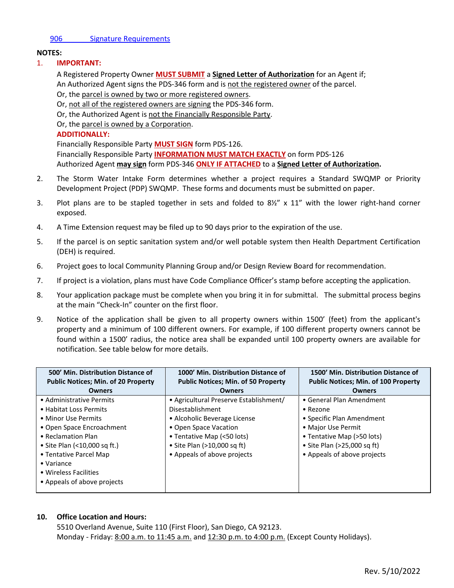#### [906 Signature Requirements](http://www.sdcounty.ca.gov/pds/zoning/formfields/PDS-PLN-906.pdf)

### **NOTES:**

### 1. **IMPORTANT:**

A Registered Property Owner **MUST SUBMIT** a **Signed Letter of Authorization** for an Agent if; An Authorized Agent signs the PDS-346 form and is not the registered owner of the parcel. Or, the parcel is owned by two or more registered owners.

Or, not all of the registered owners are signing the PDS-346 form.

Or, the Authorized Agent is not the Financially Responsible Party.

Or, the parcel is owned by a Corporation.

## **ADDITIONALLY:**

Financially Responsible Party **MUST SIGN** form PDS-126. Financially Responsible Party **INFORMATION MUST MATCH EXACTLY** on form PDS-126 Authorized Agent **may sign** form PDS-346 **ONLY IF ATTACHED** to a **Signed Letter of Authorization.** 

- 2. The Storm Water Intake Form determines whether a project requires a Standard SWQMP or Priority Development Project (PDP) SWQMP. These forms and documents must be submitted on paper.
- 3. Plot plans are to be stapled together in sets and folded to  $8\frac{y}{x} \times 11$ " with the lower right-hand corner exposed.
- 4. A Time Extension request may be filed up to 90 days prior to the expiration of the use.
- 5. If the parcel is on septic sanitation system and/or well potable system then Health Department Certification (DEH) is required.
- 6. Project goes to local Community Planning Group and/or Design Review Board for recommendation.
- 7. If project is a violation, plans must have Code Compliance Officer's stamp before accepting the application.
- 8. Your application package must be complete when you bring it in for submittal. The submittal process begins at the main "Check-In" counter on the first floor.
- 9. Notice of the application shall be given to all property owners within 1500' (feet) from the applicant's property and a minimum of 100 different owners. For example, if 100 different property owners cannot be found within a 1500' radius, the notice area shall be expanded until 100 property owners are available for notification. See table below for more details.

| 500' Min. Distribution Distance of<br><b>Public Notices; Min. of 20 Property</b>                                                                                                                                 | 1000' Min. Distribution Distance of<br><b>Public Notices: Min. of 50 Property</b>                                                                                                                               | 1500' Min. Distribution Distance of<br><b>Public Notices; Min. of 100 Property</b>                                                                                                            |
|------------------------------------------------------------------------------------------------------------------------------------------------------------------------------------------------------------------|-----------------------------------------------------------------------------------------------------------------------------------------------------------------------------------------------------------------|-----------------------------------------------------------------------------------------------------------------------------------------------------------------------------------------------|
| <b>Owners</b>                                                                                                                                                                                                    | <b>Owners</b>                                                                                                                                                                                                   | Owners                                                                                                                                                                                        |
| • Administrative Permits<br>• Habitat Loss Permits<br>• Minor Use Permits<br>• Open Space Encroachment<br>• Reclamation Plan<br>• Site Plan $($ < 10,000 sq ft.)<br>• Tentative Parcel Map<br>$\bullet$ Variance | • Agricultural Preserve Establishment/<br>Disestablishment<br>• Alcoholic Beverage License<br>• Open Space Vacation<br>• Tentative Map (<50 lots)<br>• Site Plan (>10,000 sq ft)<br>• Appeals of above projects | • General Plan Amendment<br>$\bullet$ Rezone<br>• Specific Plan Amendment<br>• Major Use Permit<br>• Tentative Map (>50 lots)<br>• Site Plan $(>25,000$ sq ft)<br>• Appeals of above projects |
| • Wireless Facilities<br>• Appeals of above projects                                                                                                                                                             |                                                                                                                                                                                                                 |                                                                                                                                                                                               |

### **10. Office Location and Hours:**

5510 Overland Avenue, Suite 110 (First Floor), San Diego, CA 92123. Monday - Friday: 8:00 a.m. to 11:45 a.m. and 12:30 p.m. to 4:00 p.m. (Except County Holidays).